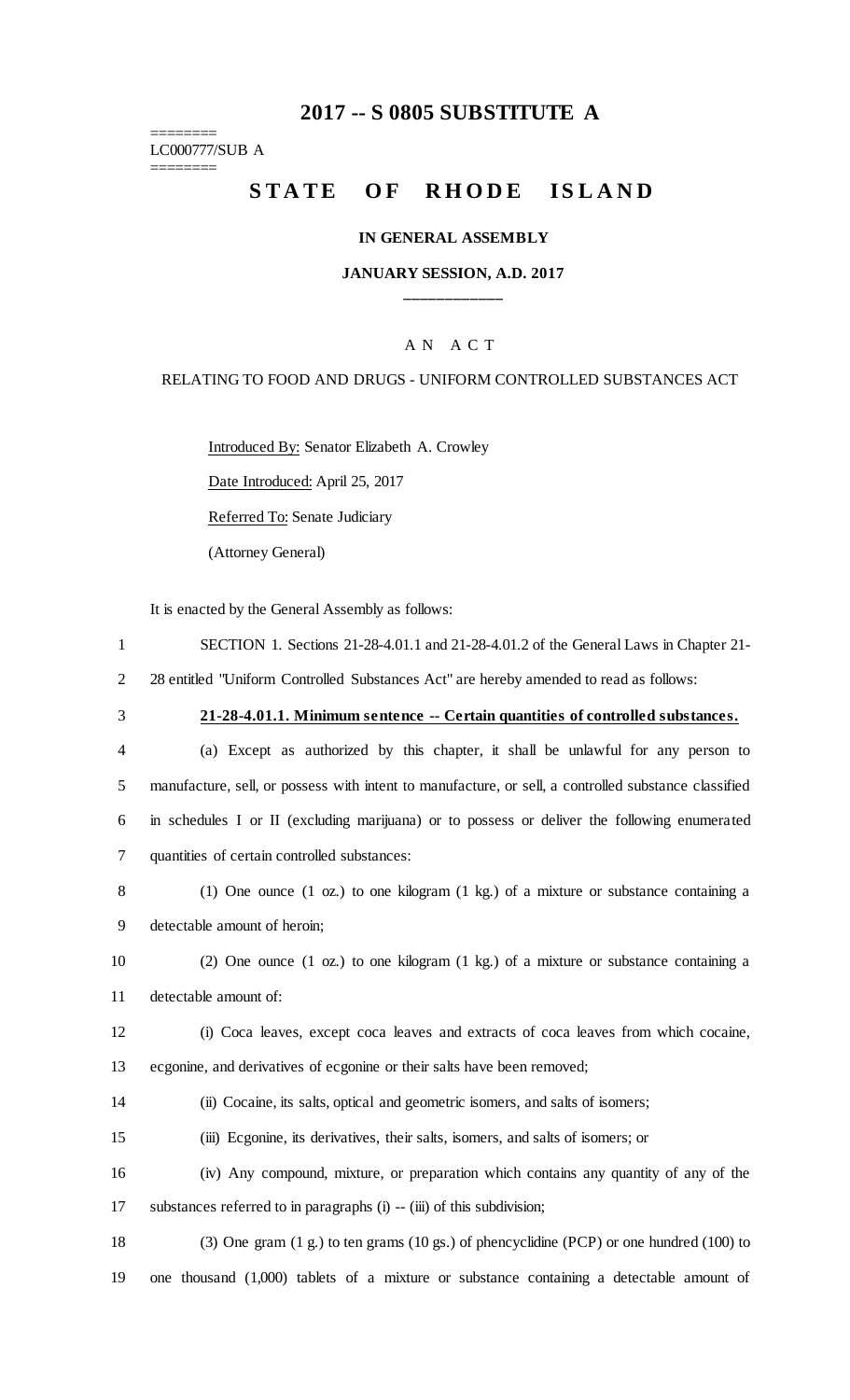# **2017 -- S 0805 SUBSTITUTE A**

======== LC000777/SUB A

========

# STATE OF RHODE ISLAND

#### **IN GENERAL ASSEMBLY**

#### **JANUARY SESSION, A.D. 2017 \_\_\_\_\_\_\_\_\_\_\_\_**

### A N A C T

#### RELATING TO FOOD AND DRUGS - UNIFORM CONTROLLED SUBSTANCES ACT

Introduced By: Senator Elizabeth A. Crowley

Date Introduced: April 25, 2017

Referred To: Senate Judiciary

(Attorney General)

It is enacted by the General Assembly as follows:

- 1 SECTION 1. Sections 21-28-4.01.1 and 21-28-4.01.2 of the General Laws in Chapter 21- 2 28 entitled "Uniform Controlled Substances Act" are hereby amended to read as follows:
- 

#### 3 **21-28-4.01.1. Minimum sentence -- Certain quantities of controlled substances.**

- 4 (a) Except as authorized by this chapter, it shall be unlawful for any person to 5 manufacture, sell, or possess with intent to manufacture, or sell, a controlled substance classified 6 in schedules I or II (excluding marijuana) or to possess or deliver the following enumerated 7 quantities of certain controlled substances:
- 8 (1) One ounce (1 oz.) to one kilogram (1 kg.) of a mixture or substance containing a 9 detectable amount of heroin;
- 10 (2) One ounce (1 oz.) to one kilogram (1 kg.) of a mixture or substance containing a 11 detectable amount of:

12 (i) Coca leaves, except coca leaves and extracts of coca leaves from which cocaine, 13 ecgonine, and derivatives of ecgonine or their salts have been removed;

- 14 (ii) Cocaine, its salts, optical and geometric isomers, and salts of isomers;
- 15 (iii) Ecgonine, its derivatives, their salts, isomers, and salts of isomers; or
- 16 (iv) Any compound, mixture, or preparation which contains any quantity of any of the 17 substances referred to in paragraphs (i) -- (iii) of this subdivision;
- 18 (3) One gram (1 g.) to ten grams (10 gs.) of phencyclidine (PCP) or one hundred (100) to 19 one thousand (1,000) tablets of a mixture or substance containing a detectable amount of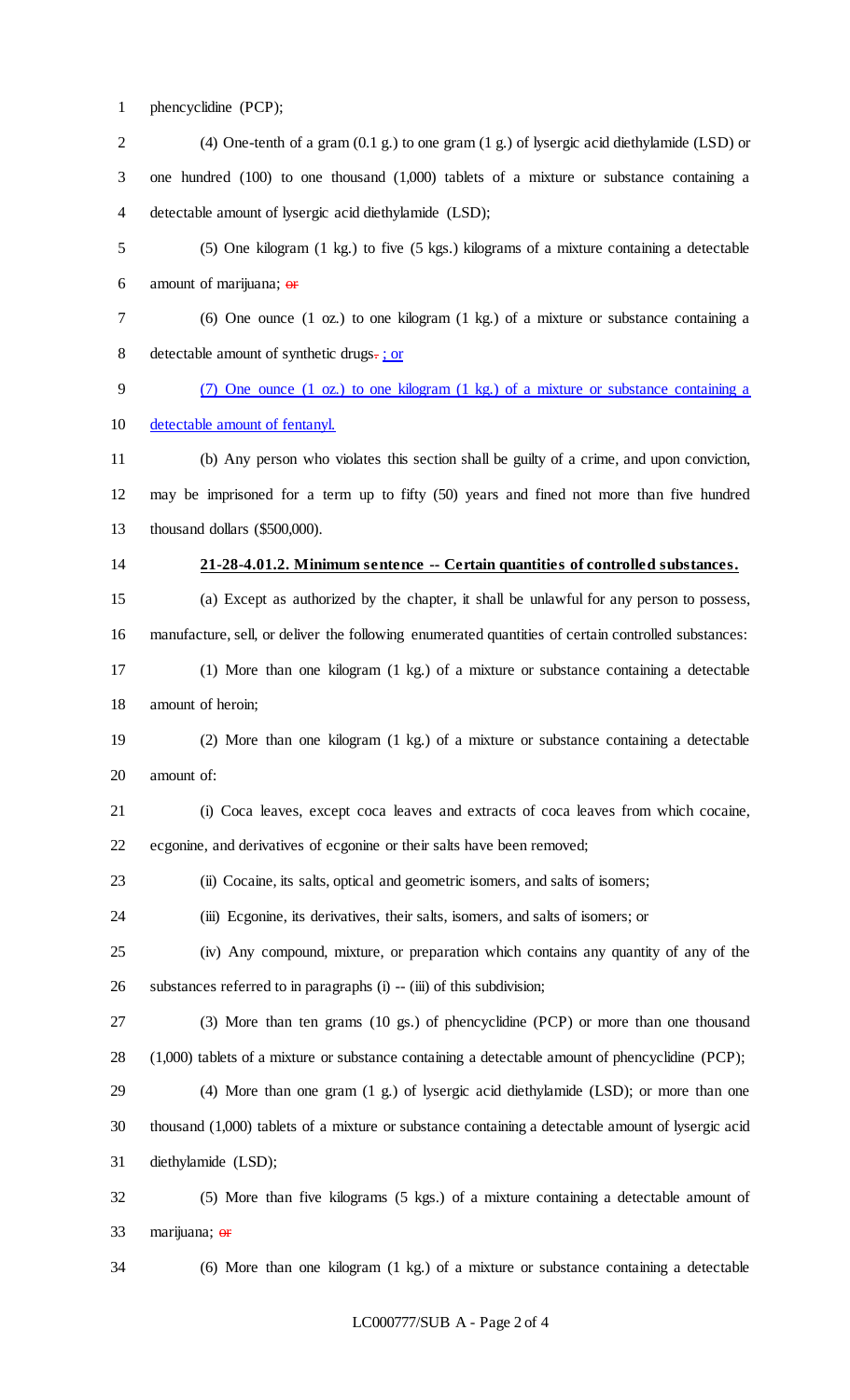phencyclidine (PCP);

 (4) One-tenth of a gram (0.1 g.) to one gram (1 g.) of lysergic acid diethylamide (LSD) or one hundred (100) to one thousand (1,000) tablets of a mixture or substance containing a detectable amount of lysergic acid diethylamide (LSD); (5) One kilogram (1 kg.) to five (5 kgs.) kilograms of a mixture containing a detectable 6 amount of marijuana;  $\theta$  (6) One ounce (1 oz.) to one kilogram (1 kg.) of a mixture or substance containing a detectable amount of synthetic drugs. ; or (7) One ounce (1 oz.) to one kilogram (1 kg.) of a mixture or substance containing a detectable amount of fentanyl. (b) Any person who violates this section shall be guilty of a crime, and upon conviction, may be imprisoned for a term up to fifty (50) years and fined not more than five hundred thousand dollars (\$500,000). **21-28-4.01.2. Minimum sentence -- Certain quantities of controlled substances.** (a) Except as authorized by the chapter, it shall be unlawful for any person to possess, manufacture, sell, or deliver the following enumerated quantities of certain controlled substances: (1) More than one kilogram (1 kg.) of a mixture or substance containing a detectable amount of heroin; (2) More than one kilogram (1 kg.) of a mixture or substance containing a detectable amount of: (i) Coca leaves, except coca leaves and extracts of coca leaves from which cocaine, ecgonine, and derivatives of ecgonine or their salts have been removed; (ii) Cocaine, its salts, optical and geometric isomers, and salts of isomers; (iii) Ecgonine, its derivatives, their salts, isomers, and salts of isomers; or (iv) Any compound, mixture, or preparation which contains any quantity of any of the substances referred to in paragraphs (i) -- (iii) of this subdivision; (3) More than ten grams (10 gs.) of phencyclidine (PCP) or more than one thousand (1,000) tablets of a mixture or substance containing a detectable amount of phencyclidine (PCP); (4) More than one gram (1 g.) of lysergic acid diethylamide (LSD); or more than one thousand (1,000) tablets of a mixture or substance containing a detectable amount of lysergic acid diethylamide (LSD); (5) More than five kilograms (5 kgs.) of a mixture containing a detectable amount of marijuana; or

(6) More than one kilogram (1 kg.) of a mixture or substance containing a detectable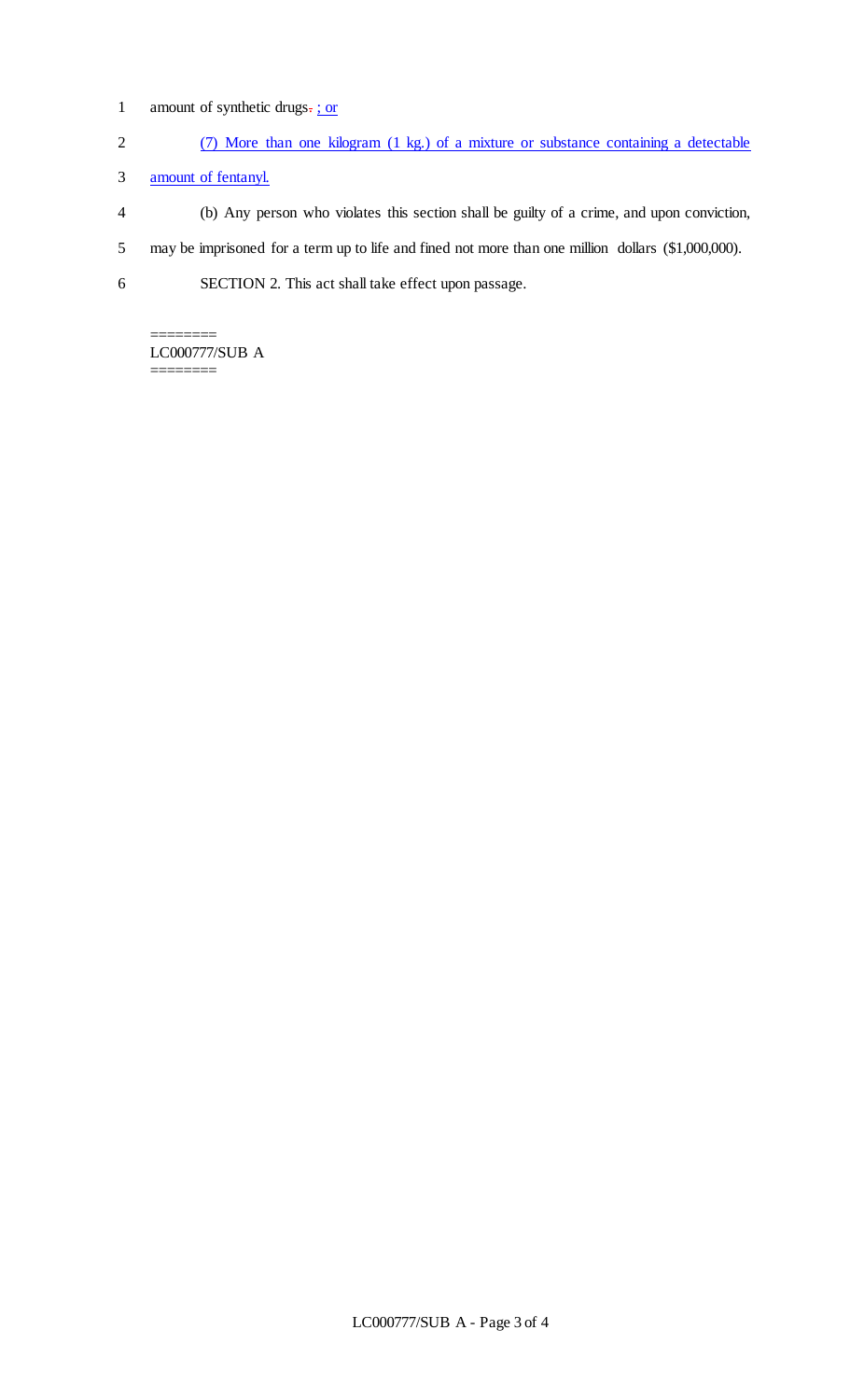- 1 amount of synthetic drugs-; or
- 2 (7) More than one kilogram (1 kg.) of a mixture or substance containing a detectable
- 3 amount of fentanyl.
- 4 (b) Any person who violates this section shall be guilty of a crime, and upon conviction,
- 5 may be imprisoned for a term up to life and fined not more than one million dollars (\$1,000,000).
- 6 SECTION 2. This act shall take effect upon passage.

======== LC000777/SUB A ========